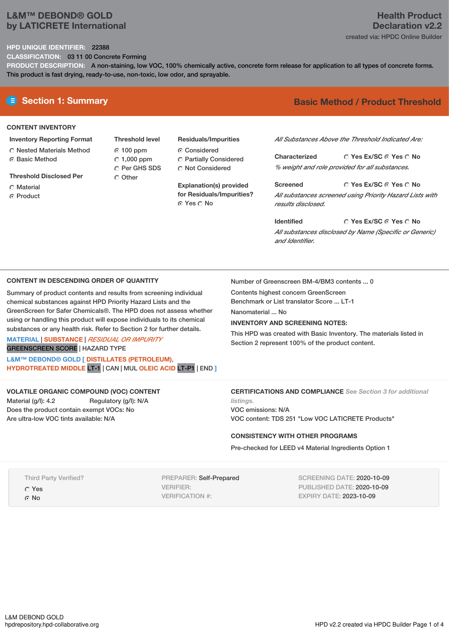## **L&M™ DEBOND® GOLD by LATICRETE International**

## **Health Product Declaration v2.2** created via: HPDC Online Builder

### **HPD UNIQUE IDENTIFIER:** 22388

**CLASSIFICATION:** 03 11 00 Concrete Forming

**PRODUCT DESCRIPTION:** A non-staining, low VOC, 100% chemically active, concrete form release for application to all types of concrete forms. This product is fast drying, ready-to-use, non-toxic, low odor, and sprayable.

## **CONTENT INVENTORY**

- **Inventory Reporting Format** Nested Materials Method
- **C** Basic Method
- **Threshold Disclosed Per**
- Material
- **G** Product
- **Threshold level** 100 ppm 1,000 ppm C Per GHS SDS Other
- **Residuals/Impurities** ⊙ Considered Partially Considered  $\bigcirc$  Not Considered

**Explanation(s) provided for Residuals/Impurities?** ⊙ Yes ∩ No

# **E** Section 1: Summary **Basic Method / Product Threshold**

*All Substances Above the Threshold Indicated Are:*

**Yes Ex/SC Yes No Characterized** *% weight and role provided for all substances.*

**Yes Ex/SC Yes No Screened** *All substances screened using Priority Hazard Lists with results disclosed.*

**Yes Ex/SC Yes No Identified** *All substances disclosed by Name (Specific or Generic) and Identifier.*

#### **CONTENT IN DESCENDING ORDER OF QUANTITY**

Summary of product contents and results from screening individual chemical substances against HPD Priority Hazard Lists and the GreenScreen for Safer Chemicals®. The HPD does not assess whether using or handling this product will expose individuals to its chemical substances or any health risk. Refer to Section 2 for further details.

**MATERIAL** | **SUBSTANCE** | *RESIDUAL OR IMPURITY* GREENSCREEN SCORE | HAZARD TYPE

**L&M™ DEBOND® GOLD [ DISTILLATES (PETROLEUM), HYDROTREATED MIDDLE** LT-1 | CAN | MUL **OLEIC ACID** LT-P1 | END **]**

## **VOLATILE ORGANIC COMPOUND (VOC) CONTENT**

Material (g/l): 4.2 Regulatory (g/l): N/A Does the product contain exempt VOCs: No Are ultra-low VOC tints available: N/A

Number of Greenscreen BM-4/BM3 contents ... 0

Contents highest concern GreenScreen

Benchmark or List translator Score ... LT-1

Nanomaterial No.

#### **INVENTORY AND SCREENING NOTES:**

This HPD was created with Basic Inventory. The materials listed in Section 2 represent 100% of the product content.

**CERTIFICATIONS AND COMPLIANCE** *See Section 3 for additional*

*listings.* VOC emissions: N/A VOC content: TDS 251 "Low VOC LATICRETE Products"

## **CONSISTENCY WITH OTHER PROGRAMS**

Pre-checked for LEED v4 Material Ingredients Option 1

Third Party Verified?

Yes

G No

PREPARER: Self-Prepared VERIFIER: VERIFICATION #:

SCREENING DATE: 2020-10-09 PUBLISHED DATE: 2020-10-09 EXPIRY DATE: 2023-10-09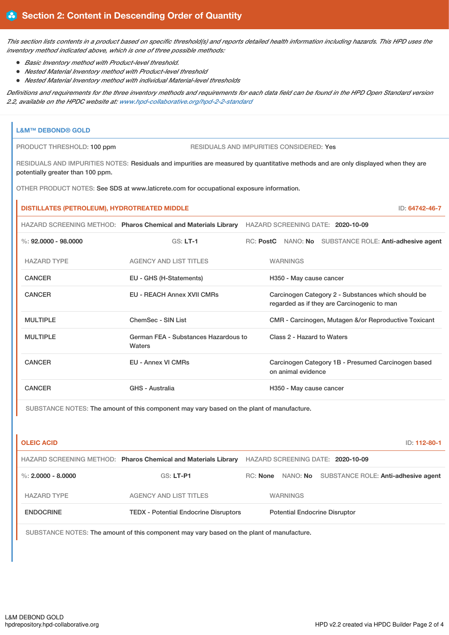This section lists contents in a product based on specific threshold(s) and reports detailed health information including hazards. This HPD uses the *inventory method indicated above, which is one of three possible methods:*

- *Basic Inventory method with Product-level threshold.*
- *Nested Material Inventory method with Product-level threshold*
- *Nested Material Inventory method with individual Material-level thresholds*

Definitions and requirements for the three inventory methods and requirements for each data field can be found in the HPD Open Standard version *2.2, available on the HPDC website at: [www.hpd-collaborative.org/hpd-2-2-standard](https://www.hpd-collaborative.org/hpd-2-2-standard)*

| <b>L&amp;M™ DEBOND® GOLD</b>                                                                                                                                            |                                                                                                  |  |                                      |                                                                                                   |  |  |  |
|-------------------------------------------------------------------------------------------------------------------------------------------------------------------------|--------------------------------------------------------------------------------------------------|--|--------------------------------------|---------------------------------------------------------------------------------------------------|--|--|--|
| PRODUCT THRESHOLD: 100 ppm                                                                                                                                              | <b>RESIDUALS AND IMPURITIES CONSIDERED: Yes</b>                                                  |  |                                      |                                                                                                   |  |  |  |
| RESIDUALS AND IMPURITIES NOTES: Residuals and impurities are measured by quantitative methods and are only displayed when they are<br>potentially greater than 100 ppm. |                                                                                                  |  |                                      |                                                                                                   |  |  |  |
| OTHER PRODUCT NOTES: See SDS at www.laticrete.com for occupational exposure information.                                                                                |                                                                                                  |  |                                      |                                                                                                   |  |  |  |
| DISTILLATES (PETROLEUM), HYDROTREATED MIDDLE<br>ID: 64742-46-7                                                                                                          |                                                                                                  |  |                                      |                                                                                                   |  |  |  |
|                                                                                                                                                                         | HAZARD SCREENING METHOD: Pharos Chemical and Materials Library HAZARD SCREENING DATE: 2020-10-09 |  |                                      |                                                                                                   |  |  |  |
| $\%: 92,0000 - 98,0000$                                                                                                                                                 | $GS: LT-1$                                                                                       |  |                                      | RC: PostC NANO: No SUBSTANCE ROLE: Anti-adhesive agent                                            |  |  |  |
| <b>HAZARD TYPE</b>                                                                                                                                                      | <b>AGENCY AND LIST TITLES</b>                                                                    |  | <b>WARNINGS</b>                      |                                                                                                   |  |  |  |
| <b>CANCER</b>                                                                                                                                                           | EU - GHS (H-Statements)                                                                          |  | H350 - May cause cancer              |                                                                                                   |  |  |  |
| <b>CANCER</b>                                                                                                                                                           | <b>EU - REACH Annex XVII CMRs</b>                                                                |  |                                      | Carcinogen Category 2 - Substances which should be<br>regarded as if they are Carcinogenic to man |  |  |  |
| <b>MULTIPLE</b>                                                                                                                                                         | ChemSec - SIN List                                                                               |  |                                      | CMR - Carcinogen, Mutagen &/or Reproductive Toxicant                                              |  |  |  |
| <b>MULTIPLE</b>                                                                                                                                                         | German FEA - Substances Hazardous to<br>Waters                                                   |  | Class 2 - Hazard to Waters           |                                                                                                   |  |  |  |
| <b>CANCER</b>                                                                                                                                                           | <b>EU - Annex VI CMRs</b>                                                                        |  | on animal evidence                   | Carcinogen Category 1B - Presumed Carcinogen based                                                |  |  |  |
| <b>CANCER</b>                                                                                                                                                           | <b>GHS - Australia</b>                                                                           |  | H350 - May cause cancer              |                                                                                                   |  |  |  |
| SUBSTANCE NOTES: The amount of this component may vary based on the plant of manufacture.                                                                               |                                                                                                  |  |                                      |                                                                                                   |  |  |  |
| <b>OLEIC ACID</b>                                                                                                                                                       |                                                                                                  |  |                                      | ID: 112-80-1                                                                                      |  |  |  |
|                                                                                                                                                                         | HAZARD SCREENING METHOD: Pharos Chemical and Materials Library HAZARD SCREENING DATE: 2020-10-09 |  |                                      |                                                                                                   |  |  |  |
| %: $2.0000 - 8.0000$                                                                                                                                                    | <b>GS: LT-P1</b>                                                                                 |  |                                      | RC: None NANO: No SUBSTANCE ROLE: Anti-adhesive agent                                             |  |  |  |
| <b>HAZARD TYPE</b>                                                                                                                                                      | <b>AGENCY AND LIST TITLES</b>                                                                    |  | <b>WARNINGS</b>                      |                                                                                                   |  |  |  |
| <b>ENDOCRINE</b>                                                                                                                                                        | <b>TEDX - Potential Endocrine Disruptors</b>                                                     |  | <b>Potential Endocrine Disruptor</b> |                                                                                                   |  |  |  |
|                                                                                                                                                                         |                                                                                                  |  |                                      |                                                                                                   |  |  |  |

SUBSTANCE NOTES: The amount of this component may vary based on the plant of manufacture.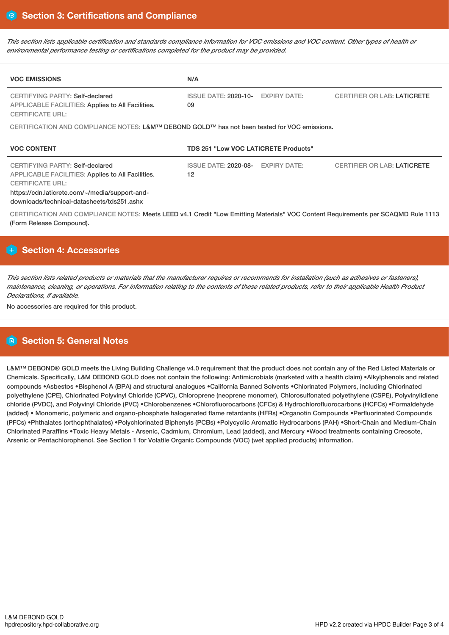This section lists applicable certification and standards compliance information for VOC emissions and VOC content. Other types of health or *environmental performance testing or certifications completed for the product may be provided.*

| <b>VOC EMISSIONS</b>                                                                                                                                                                                                   | N/A                                         |                     |                                    |  |  |  |
|------------------------------------------------------------------------------------------------------------------------------------------------------------------------------------------------------------------------|---------------------------------------------|---------------------|------------------------------------|--|--|--|
| <b>CERTIFYING PARTY: Self-declared</b><br><b>APPLICABLE FACILITIES: Applies to All Facilities.</b><br><b>CERTIFICATE URL:</b>                                                                                          | <b>ISSUE DATE: 2020-10-</b><br>09           | <b>EXPIRY DATE:</b> | <b>CERTIFIER OR LAB: LATICRETE</b> |  |  |  |
| CERTIFICATION AND COMPLIANCE NOTES: L&M™ DEBOND GOLD™ has not been tested for VOC emissions.                                                                                                                           |                                             |                     |                                    |  |  |  |
| <b>VOC CONTENT</b>                                                                                                                                                                                                     | <b>TDS 251 "Low VOC LATICRETE Products"</b> |                     |                                    |  |  |  |
| CERTIFYING PARTY: Self-declared<br><b>APPLICABLE FACILITIES: Applies to All Facilities.</b><br><b>CERTIFICATE URL:</b><br>https://cdn.laticrete.com/~/media/support-and-<br>downloads/technical-datasheets/tds251.ashx | <b>ISSUE DATE: 2020-08-</b><br>12           | <b>EXPIRY DATE:</b> | <b>CERTIFIER OR LAB: LATICRETE</b> |  |  |  |
| CERTIFICATION AND COMPLIANCE NOTES: Meets LEED v4.1 Credit "Low Emitting Materials" VOC Content Requirements per SCAQMD Rule 1113<br>(Form Release Compound).                                                          |                                             |                     |                                    |  |  |  |

## **H** Section 4: Accessories

This section lists related products or materials that the manufacturer requires or recommends for installation (such as adhesives or fasteners), maintenance, cleaning, or operations. For information relating to the contents of these related products, refer to their applicable Health Product *Declarations, if available.*

No accessories are required for this product.

# **Section 5: General Notes**

L&M™ DEBOND® GOLD meets the Living Building Challenge v4.0 requirement that the product does not contain any of the Red Listed Materials or Chemicals. Specifically, L&M DEBOND GOLD does not contain the following: Antimicrobials (marketed with a health claim) •Alkylphenols and related compounds •Asbestos •Bisphenol A (BPA) and structural analogues •California Banned Solvents •Chlorinated Polymers, including Chlorinated polyethylene (CPE), Chlorinated Polyvinyl Chloride (CPVC), Chloroprene (neoprene monomer), Chlorosulfonated polyethylene (CSPE), Polyvinylidiene chloride (PVDC), and Polyvinyl Chloride (PVC) •Chlorobenzenes •Chlorofluorocarbons (CFCs) & Hydrochlorofluorocarbons (HCFCs) •Formaldehyde (added) • Monomeric, polymeric and organo-phosphate halogenated flame retardants (HFRs) •Organotin Compounds •Perfluorinated Compounds (PFCs) •Phthalates (orthophthalates) •Polychlorinated Biphenyls (PCBs) •Polycyclic Aromatic Hydrocarbons (PAH) •Short-Chain and Medium-Chain Chlorinated Paraffins •Toxic Heavy Metals - Arsenic, Cadmium, Chromium, Lead (added), and Mercury •Wood treatments containing Creosote, Arsenic or Pentachlorophenol. See Section 1 for Volatile Organic Compounds (VOC) (wet applied products) information.